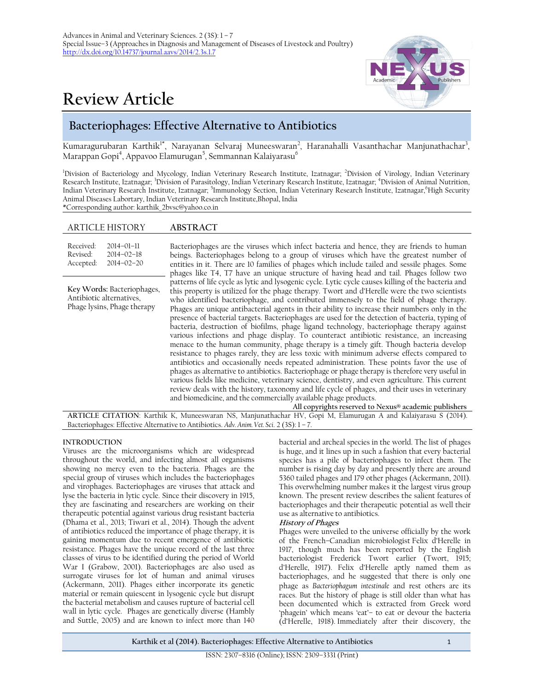# **Review Article**



# **Bacteriophages: Effective Alternative to Antibiotics**

Kumaragurubaran Karthik<sup>1\*</sup>, Narayanan Selvaraj Muneeswaran<sup>2</sup>, Haranahalli Vasanthachar Manjunathachar<sup>3</sup>, Marappan Gopi<sup>4</sup>, Appavoo Elamurugan<sup>5</sup>, Semmannan Kalaiyarasu<sup>6</sup>

<sup>1</sup>Division of Bacteriology and Mycology, Indian Veterinary Research Institute, Izatnagar; <sup>2</sup>Division of Virology, Indian Veterinary Research Institute, Izatnagar; <sup>3</sup>Division of Parasitology, Indian Veterinary Research Institute, Izatnagar; <sup>4</sup>Division of Animal Nutrition, Indian Veterinary Research Institute, Izatnagar; <sup>5</sup>Immunology Section, Indian Veterinary Research Institute, Izatnagar,<sup>6</sup>High Security Animal Diseases Labortary, Indian Veterinary Research Institute,Bhopal, India

\*Corresponding author: karthik\_2bvsc@yahoo.co.in

# ARTICLE HISTORY **ABSTRACT**

| Received:<br>$2014 - 01 - 11$<br>Revised:<br>$2014 - 02 - 18$<br>$2014 - 02 - 20$<br>Accepted: | Bacteriophages are the viruses which infect bacteria and hence, they are friends to human<br>beings. Bacteriophages belong to a group of viruses which have the greatest number of<br>entities in it. There are 10 families of phages which include tailed and sessile phages. Some<br>phages like T4, T7 have an unique structure of having head and tail. Phages follow two                                                                                                                                                                                                                                                                                                                                                                                                                                                                                                                                                                                                                                                                                                                                                                                                                                                                                                                                                                              |  |
|------------------------------------------------------------------------------------------------|------------------------------------------------------------------------------------------------------------------------------------------------------------------------------------------------------------------------------------------------------------------------------------------------------------------------------------------------------------------------------------------------------------------------------------------------------------------------------------------------------------------------------------------------------------------------------------------------------------------------------------------------------------------------------------------------------------------------------------------------------------------------------------------------------------------------------------------------------------------------------------------------------------------------------------------------------------------------------------------------------------------------------------------------------------------------------------------------------------------------------------------------------------------------------------------------------------------------------------------------------------------------------------------------------------------------------------------------------------|--|
| Key Words: Bacteriophages,<br>Antibiotic alternatives,<br>Phage lysins, Phage therapy          | patterns of life cycle as lytic and lysogenic cycle. Lytic cycle causes killing of the bacteria and<br>this property is utilized for the phage therapy. Twort and d'Herelle were the two scientists<br>who identified bacteriophage, and contributed immensely to the field of phage therapy.<br>Phages are unique antibacterial agents in their ability to increase their numbers only in the<br>presence of bacterial targets. Bacteriophages are used for the detection of bacteria, typing of<br>bacteria, destruction of biofilms, phage ligand technology, bacteriophage therapy against<br>various infections and phage display. To counteract antibiotic resistance, an increasing<br>menace to the human community, phage therapy is a timely gift. Though bacteria develop<br>resistance to phages rarely, they are less toxic with minimum adverse effects compared to<br>antibiotics and occasionally needs repeated administration. These points favor the use of<br>phages as alternative to antibiotics. Bacteriophage or phage therapy is therefore very useful in<br>various fields like medicine, veterinary science, dentistry, and even agriculture. This current<br>review deals with the history, taxonomy and life cycle of phages, and their uses in veterinary<br>and biomedicine, and the commercially available phage products. |  |
| $\overline{1}$                                                                                 | All copyrights reserved to Nexus® academic publishers<br>$\mathbf{1}$ $\mathbf{1}$<br>$\cdots$ $\cdots$<br>$\sim$ $\sim$ $\sim$ $\sim$ $\sim$ $\sim$ $\sim$                                                                                                                                                                                                                                                                                                                                                                                                                                                                                                                                                                                                                                                                                                                                                                                                                                                                                                                                                                                                                                                                                                                                                                                                |  |

**ARTICLE CITATION**: Karthik K, Muneeswaran NS, Manjunathachar HV, Gopi M, Elamurugan A and Kalaiyarasu S (2014). Bacteriophages: Effective Alternative to Antibiotics. *Adv. Anim. Vet. Sci*. 2 (3S): 1 – 7.

#### **INTRODUCTION**

Viruses are the microorganisms which are widespread throughout the world, and infecting almost all organisms showing no mercy even to the bacteria. Phages are the special group of viruses which includes the bacteriophages and virophages. Bacteriophages are viruses that attack and lyse the bacteria in lytic cycle. Since their discovery in 1915, they are fascinating and researchers are working on their therapeutic potential against various drug resistant bacteria (Dhama et al., 2013; Tiwari et al., 2014). Though the advent of antibiotics reduced the importance of phage therapy, it is gaining momentum due to recent emergence of antibiotic resistance. Phages have the unique record of the last three classes of virus to be identified during the period of World War I (Grabow, 2001). Bacteriophages are also used as surrogate viruses for lot of human and animal viruses (Ackermann, 2011). Phages either incorporate its genetic material or remain quiescent in lysogenic cycle but disrupt the bacterial metabolism and causes rupture of bacterial cell wall in lytic cycle. Phages are genetically diverse (Hambly and Suttle, 2005) and are known to infect more than 140

bacterial and archeal species in the world. The list of phages is huge, and it lines up in such a fashion that every bacterial species has a pile of bacteriophages to infect them. The number is rising day by day and presently there are around 5360 tailed phages and 179 other phages (Ackermann, 2011). This overwhelming number makes it the largest virus group known. The present review describes the salient features of bacteriophages and their therapeutic potential as well their use as alternative to antibiotics.

#### **History of Phages**

Phages were unveiled to the universe officially by the work of the French–Canadian microbiologist Felix d'Herelle in 1917, though much has been reported by the English bacteriologist Frederick Twort earlier (Twort, 1915; d'Herelle, 1917). Felix d'Herelle aptly named them as bacteriophages, and he suggested that there is only one phage as *Bacteriophagum intestinale* and rest others are its races. But the history of phage is still older than what has been documented which is extracted from Greek word 'phagein' which means 'eat'– to eat or devour the bacteria (d'Herelle, 1918). Immediately after their discovery, the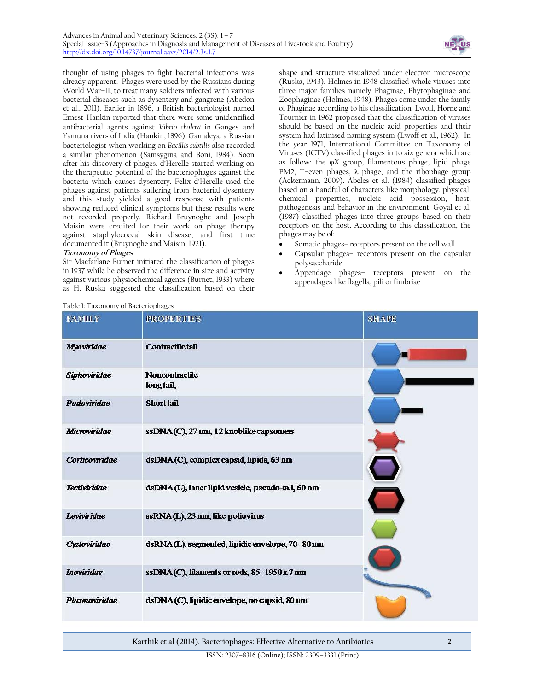

thought of using phages to fight bacterial infections was already apparent. Phages were used by the Russians during World War–II, to treat many soldiers infected with various bacterial diseases such as dysentery and gangrene (Abedon et al., 2011). Earlier in 1896, a British bacteriologist named Ernest Hankin reported that there were some unidentified antibacterial agents against *Vibrio cholera* in Ganges and Yamuna rivers of India (Hankin, 1896). Gamaleya, a Russian bacteriologist when working on *Bacillis subtilis* also recorded a similar phenomenon (Samsygina and Boni, 1984). Soon after his discovery of phages, d'Herelle started working on the therapeutic potential of the bacteriophages against the bacteria which causes dysentery. Felix d'Herelle used the phages against patients suffering from bacterial dysentery and this study yielded a good response with patients showing reduced clinical symptoms but these results were not recorded properly. Richard Bruynoghe and Joseph Maisin were credited for their work on phage therapy against staphylococcal skin disease, and first time documented it (Bruynoghe and Maisin, 1921).

# **Taxonomy of Phages**

Sir Macfarlane Burnet initiated the classification of phages in 1937 while he observed the difference in size and activity against various physiochemical agents (Burnet, 1933) where as H. Ruska suggested the classification based on their

shape and structure visualized under electron microscope (Ruska, 1943). Holmes in 1948 classified whole viruses into three major families namely Phaginae, Phytophaginae and Zoophaginae (Holmes, 1948). Phages come under the family of Phaginae according to his classification. Lwoff, Horne and Tournier in 1962 proposed that the classification of viruses should be based on the nucleic acid properties and their system had latinised naming system (Lwoff et al., 1962). In the year 1971, International Committee on Taxonomy of Viruses (ICTV) classified phages in to six genera which are as follow: the φX group, filamentous phage, lipid phage PM2, T–even phages, λ phage, and the ribophage group (Ackermann, 2009). Abeles et al. (1984) classified phages based on a handful of characters like morphology, physical, chemical properties, nucleic acid possession, host, pathogenesis and behavior in the environment. Goyal et al. (1987) classified phages into three groups based on their receptors on the host. According to this classification, the phages may be of:

- Somatic phages– receptors present on the cell wall
- Capsular phages– receptors present on the capsular polysaccharide
- Appendage phages– receptors present on the appendages like flagella, pili or fimbriae

| Table 1: Taxonomy of Bacteriophages |  |
|-------------------------------------|--|
|-------------------------------------|--|

| <b>FAMILY</b>        | <b>PROPERTIES</b>                                 | <b>SHAPE</b> |
|----------------------|---------------------------------------------------|--------------|
| Myoviridae           | Contractile tail                                  |              |
| Siphoviridae         | <b>Noncontractile</b><br>long tail,               |              |
| Podoviridae          | <b>Short</b> tail                                 |              |
| Microviridae         | ssDNA(C), 27 nm, 12 knoblike capsomers            |              |
| Corticoviridae       | dsDNA(C), complex capsid, lipids, 63 nm           |              |
| <b>Tectiviridae</b>  | dsDNA(L), inner lipid vesicle, pseudo-tail, 60 nm |              |
| Leviviridae          | ssRNA(L), 23 nm, like poliovirus                  |              |
| Cystoviridae         | dsRNA(L), segmented, lipidic envelope, 70-80 nm   |              |
| <b>Inoviridae</b>    | ssDNA(C), filaments or rods, 85-1950 x 7 nm       |              |
| <b>Plasmaviridae</b> | dsDNA(C), lipidic envelope, no capsid, 80 nm      |              |

**Karthik et al (2014). Bacteriophages: Effective Alternative to Antibiotics** 2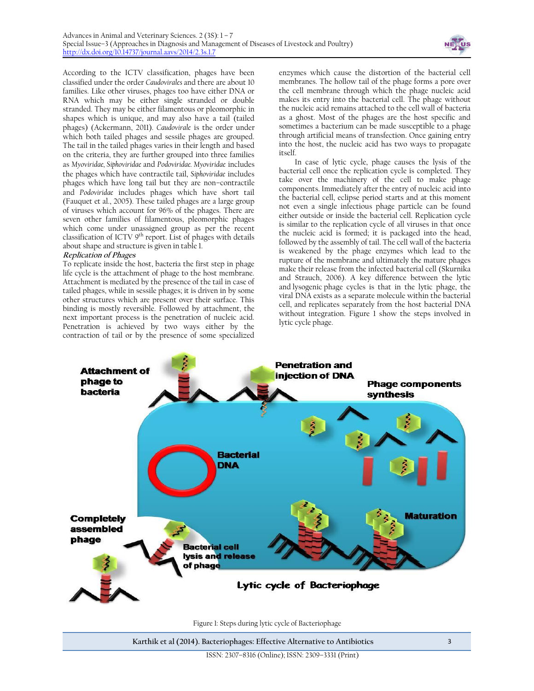

According to the ICTV classification, phages have been classified under the order *Caudovirales* and there are about 10 families. Like other viruses, phages too have either DNA or RNA which may be either single stranded or double stranded. They may be either filamentous or pleomorphic in shapes which is unique, and may also have a tail (tailed phages) (Ackermann, 2011). *Caudovirale* is the order under which both tailed phages and sessile phages are grouped. The tail in the tailed phages varies in their length and based on the criteria, they are further grouped into three families as *Myoviridae, Siphoviridae* and *Podoviridae. Myoviridae* includes the phages which have contractile tail, *Siphoviridae* includes phages which have long tail but they are non–contractile and *Podoviridae* includes phages which have short tail (Fauquet et al., 2005). These tailed phages are a large group of viruses which account for 96% of the phages. There are seven other families of filamentous, pleomorphic phages which come under unassigned group as per the recent classification of ICTV 9<sup>th</sup> report. List of phages with details about shape and structure is given in table 1.

# **Replication of Phages**

To replicate inside the host, bacteria the first step in phage life cycle is the attachment of phage to the host membrane. Attachment is mediated by the presence of the tail in case of tailed phages, while in sessile phages; it is driven in by some other structures which are present over their surface. This binding is mostly reversible. Followed by attachment, the next important process is the penetration of nucleic acid. Penetration is achieved by two ways either by the contraction of tail or by the presence of some specialized

enzymes which cause the distortion of the bacterial cell membranes. The hollow tail of the phage forms a pore over the cell membrane through which the phage nucleic acid makes its entry into the bacterial cell. The phage without the nucleic acid remains attached to the cell wall of bacteria as a ghost. Most of the phages are the host specific and sometimes a bacterium can be made susceptible to a phage through artificial means of transfection. Once gaining entry into the host, the nucleic acid has two ways to propagate itself.

In case of lytic cycle, phage causes the lysis of the bacterial cell once the replication cycle is completed. They take over the machinery of the cell to make phage components. Immediately after the entry of nucleic acid into the bacterial cell, eclipse period starts and at this moment not even a single infectious phage particle can be found either outside or inside the bacterial cell. Replication cycle is similar to the replication cycle of all viruses in that once the nucleic acid is formed; it is packaged into the head, followed by the assembly of tail. The cell wall of the bacteria is weakened by the phage enzymes which lead to the rupture of the membrane and ultimately the mature phages make their release from the infected bacterial cell (Skurnika and Strauch, 2006). A key difference between the lytic and [lysogenic](http://en.wikipedia.org/wiki/Lysogenic) phage cycles is that in the lytic phage, the viral DNA exists as a separate molecule within the bacterial cell, and replicates separately from the host bacterial DNA without integration. Figure 1 show the steps involved in lytic cycle phage.



Figure 1: Steps during lytic cycle of Bacteriophage

**Karthik et al (2014). Bacteriophages: Effective Alternative to Antibiotics** 3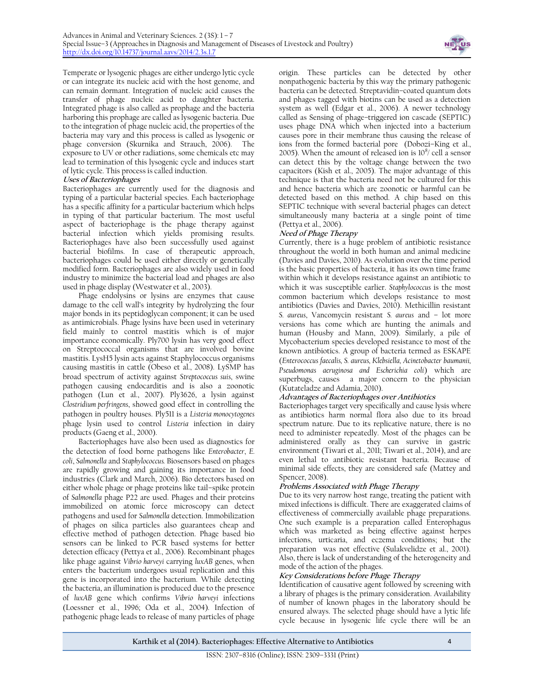

Temperate or lysogenic phages are either undergo lytic cycle or can integrate its nucleic acid with the host genome, and can remain dormant. Integration of nucleic acid causes the transfer of phage nucleic acid to daughter bacteria. Integrated phage is also called as prophage and the bacteria harboring this prophage are called as lysogenic bacteria. Due to the integration of phage nucleic acid, the properties of the bacteria may vary and this process is called as lysogenic or phage conversion (Skurnika and Strauch, 2006). The exposure to UV or other radiations, some chemicals etc may lead to termination of this lysogenic cycle and induces start of lytic cycle. This process is called induction.

# **Uses of Bacteriophages**

Bacteriophages are currently used for the diagnosis and typing of a particular bacterial species. Each bacteriophage has a specific affinity for a particular bacterium which helps in typing of that particular bacterium. The most useful aspect of bacteriophage is the phage therapy against bacterial infection which yields promising results. Bacteriophages have also been successfully used against bacterial biofilms. In case of therapeutic approach, bacteriophages could be used either directly or genetically modified form. Bacteriophages are also widely used in food industry to minimize the bacterial load and phages are also used in phage display (Westwater et al., 2003).

Phage endolysins or lysins are enzymes that cause damage to the cell wall's integrity by hydrolyzing the four major bonds in its peptidoglycan component; it can be used as antimicrobials. Phage lysins have been used in veterinary field mainly to control mastitis which is of major importance economically. Ply700 lysin has very good effect on Streptococcal organisms that are involved bovine mastitis. LysH5 lysin acts against Staphylococcus organisms causing mastitis in cattle (Obeso et al., 2008). LySMP has broad spectrum of activity against *Streptococcus suis*, swine pathogen causing endocarditis and is also a zoonotic pathogen (Lun et al., 2007). Ply3626, a lysin against *Clostridium perfringens*, showed good effect in controlling the pathogen in poultry houses. Ply511 is a *Listeria monocytogenes* phage lysin used to control *Listeria* infection in dairy products (Gaeng et al., 2000).

Bacteriophages have also been used as diagnostics for the detection of food borne pathogens like *Enterobacter*, *E. coli*, *Salmonella* and *Staphylococcus.* Biosensors based on phages are rapidly growing and gaining its importance in food industries (Clark and March, 2006). Bio detectors based on either whole phage or phage proteins like tail–spike protein of *Salmonella* phage P22 are used. Phages and their proteins immobilized on atomic force microscopy can detect pathogens and used for *Salmonella* detection. Immobilization of phages on silica particles also guarantees cheap and effective method of pathogen detection. Phage based bio sensors can be linked to PCR based systems for better detection efficacy (Pettya et al., 2006). Recombinant phages like phage against *Vibrio harveyi* carrying *luxAB* genes, when enters the bacterium undergoes usual replication and this gene is incorporated into the bacterium. While detecting the bacteria, an illumination is produced due to the presence of *luxAB* gene which confirms *Vibrio harveyi* infections (Loessner et al., 1996; Oda et al., 2004)*.* Infection of pathogenic phage leads to release of many particles of phage

origin. These particles can be detected by other nonpathogenic bacteria by this way the primary pathogenic bacteria can be detected. Streptavidin–coated quantum dots and phages tagged with biotins can be used as a detection system as well (Edgar et al., 2006). A newer technology called as Sensing of phage–triggered ion cascade (SEPTIC) uses phage DNA which when injected into a bacterium causes pore in their membrane thus causing the release of ions from the formed bacterial pore (Dobozi–King et al., 2005). When the amount of released ion is  $10^8$ / cell a sensor can detect this by the voltage change between the two capacitors (Kish et al., 2005). The major advantage of this technique is that the bacteria need not be cultured for this and hence bacteria which are zoonotic or harmful can be detected based on this method. A chip based on this SEPTIC technique with several bacterial phages can detect simultaneously many bacteria at a single point of time (Pettya et al., 2006).

# **Need of Phage Therapy**

Currently, there is a huge problem of antibiotic resistance throughout the world in both human and animal medicine (Davies and Davies, 2010). As evolution over the time period is the basic properties of bacteria, it has its own time frame within which it develops resistance against an antibiotic to which it was susceptible earlier. *Staphylococcus* is the most common bacterium which develops resistance to most antibiotics (Davies and Davies, 2010). Methicillin resistant *S. aureus*, Vancomycin resistant *S. aureus* and – lot more versions has come which are hunting the animals and human (Housby and Mann, 2009). Similarly, a pile of Mycobacterium species developed resistance to most of the known antibiotics. A group of bacteria termed as ESKAPE (*Enterococcus faecalis, S. aureus, Klebsiella, Acinetobacter baumanii, Pseudomonas aeruginosa and Escherichia coli*) which are superbugs, causes a major concern to the physician (Kutateladze and Adamia, 2010).

# **Advantages of Bacteriophages over Antibiotics**

Bacteriophages target very specifically and cause lysis where as antibiotics harm normal flora also due to its broad spectrum nature. Due to its replicative nature, there is no need to administer repeatedly. Most of the phages can be administered orally as they can survive in gastric environment (Tiwari et al., 2011; Tiwari et al., 2014), and are even lethal to antibiotic resistant bacteria. Because of minimal side effects, they are considered safe (Mattey and Spencer, 2008).

# **Problems Associated with Phage Therapy**

Due to its very narrow host range, treating the patient with mixed infections is difficult. There are exaggerated claims of effectiveness of commercially available phage preparations. One such example is a preparation called Enterophagus which was marketed as being effective against herpes infections, urticaria, and eczema conditions; but the preparation was not effective (Sulakvelidze et al., 2001). Also, there is lack of understanding of the heterogeneity and mode of the action of the phages.

# **Key Considerations before Phage Therapy**

Identification of causative agent followed by screening with a library of phages is the primary consideration. Availability of number of known phages in the laboratory should be ensured always. The selected phage should have a lytic life cycle because in lysogenic life cycle there will be an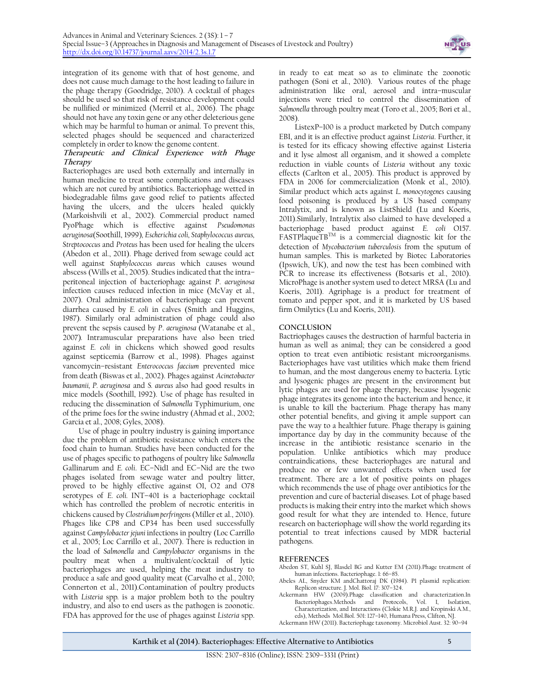

integration of its genome with that of host genome, and does not cause much damage to the host leading to failure in the phage therapy (Goodridge, 2010). A cocktail of phages should be used so that risk of resistance development could be nullified or minimized (Merril et al., 2006). The phage should not have any toxin gene or any other deleterious gene which may be harmful to human or animal. To prevent this, selected phages should be sequenced and characterized completely in order to know the genome content.

#### **Therapeutic and Clinical Experience with Phage Therapy**

Bacteriophages are used both externally and internally in human medicine to treat some complications and diseases which are not cured by antibiotics. Bacteriophage wetted in biodegradable films gave good relief to patients affected having the ulcers, and the ulcers healed quickly (Markoishvili et al., 2002). Commercial product named PyoPhage which is effective against *Pseudomonas aeruginosa*(Soothill, 1999)*, Escherichia coli, Staphylococcus aureus, Streptococcus* and *Proteus* has been used for healing the ulcers (Abedon et al., 2011). Phage derived from sewage could act well against *Staphylococcus aureus* which causes wound abscess (Wills et al., 2005). Studies indicated that the intra– peritoneal injection of bacteriophage against *P*. *aeruginosa* infection causes reduced infection in mice (McVay et al., 2007). Oral administration of bacteriophage can prevent diarrhea caused by *E. coli* in calves (Smith and Huggins, 1987). Similarly oral administration of phage could also prevent the sepsis caused by *P*. *aeruginosa* (Watanabe et al., 2007)*.* Intramuscular preparations have also been tried against *E. coli* in chickens which showed good results against septicemia (Barrow et al., 1998). Phages against vancomycin–resistant *Enterococcus faecium* prevented mice from death (Biswas et al., 2002). Phages against *Acinetobacter baumanii, P. aeruginosa* and *S. aureus* also had good results in mice models (Soothill, 1992). Use of phage has resulted in reducing the dissemination of *Salmonella* Typhimurium, one of the prime foes for the swine industry (Ahmad et al., 2002; Garcia et al., 2008; Gyles, 2008).

Use of phage in poultry industry is gaining importance due the problem of antibiotic resistance which enters the food chain to human. Studies have been conducted for the use of phages specific to pathogens of poultry like *Salmonella* Gallinarum and *E. coli*. EC–Nid1 and EC–Nid are the two phages isolated from sewage water and poultry litter, proved to be highly effective against O1, O2 and O78 serotypes of *E. coli.* INT–401 is a bacteriophage cocktail which has controlled the problem of necrotic enteritis in chickens caused by *Clostridium perfringens*(Miller et al., 2010). Phages like CP8 and CP34 has been used successfully against *Campylobacter jejuni* infections in poultry (Loc Carrillo et al., 2005; Loc Carrillo et al., 2007). There is reduction in the load of *Salmonella* and *Campylobacter* organisms in the poultry meat when a multivalent/cocktail of lytic bacteriophages are used, helping the meat industry to produce a safe and good quality meat (Carvalho et al., 2010; Connerton et al., 2011).Contamination of poultry products with *Listeria* spp*.* is a major problem both to the poultry industry, and also to end users as the pathogen is zoonotic. FDA has approved for the use of phages against *Listeria* spp.

in ready to eat meat so as to eliminate the zoonotic pathogen (Soni et al., 2010). Various routes of the phage administration like oral, aerosol and intra–muscular injections were tried to control the dissemination of *Salmonella* through poultry meat (Toro et al., 2005; Bori et al., 2008).

ListexP–100 is a product marketed by Dutch company EBI, and it is an effective product against *Listeria*. Further, it is tested for its efficacy showing effective against Listeria and it lyse almost all organism, and it showed a complete reduction in viable counts of *Listeria* without any toxic effects (Carlton et al., 2005). This product is approved by FDA in 2006 for commercialization (Monk et al., 2010). Similar product which acts against *L. monocytogenes* causing food poisoning is produced by a US based company Intralytix, and is known as ListShield (Lu and Koeris, 2011).Similarly, Intralytix also claimed to have developed a bacteriophage based product against *E. coli* O157.  $F$ ASTPlaqueTB<sup>TM</sup> is a commercial diagnostic kit for the detection of *Mycobacterium tuberculosis* from the sputum of human samples. This is marketed by Biotec Laboratories (Ipswich, UK), and now the test has been combined with PCR to increase its effectiveness (Botsaris et al., 2010). MicroPhage is another system used to detect MRSA (Lu and Koeris, 2011). Agriphage is a product for treatment of tomato and pepper spot, and it is marketed by US based firm Omilytics (Lu and Koeris, 2011).

# **CONCLUSION**

Bactriophages causes the destruction of harmful bacteria in human as well as animal; they can be considered a good option to treat even antibiotic resistant microorganisms. Bacteriophages have vast utilities which make them friend to human, and the most dangerous enemy to bacteria. Lytic and lysogenic phages are present in the environment but lytic phages are used for phage therapy, because lysogenic phage integrates its genome into the bacterium and hence, it is unable to kill the bacterium. Phage therapy has many other potential benefits, and giving it ample support can pave the way to a healthier future. Phage therapy is gaining importance day by day in the community because of the increase in the antibiotic resistance scenario in the population. Unlike antibiotics which may produce contraindications, these bacteriophages are natural and produce no or few unwanted effects when used for treatment. There are a lot of positive points on phages which recommends the use of phage over antibiotics for the prevention and cure of bacterial diseases. Lot of phage based products is making their entry into the market which shows good result for what they are intended to. Hence, future research on bacteriophage will show the world regarding its potential to treat infections caused by MDR bacterial pathogens.

# **REFERENCES**

- Abedon ST, Kuhl SJ, Blasdel BG and Kutter EM (2011).Phage treatment of human infections. Bacteriophage. 1: 66–85.
- Abeles AL, Snyder KM andChattoraj DK (1984). P1 plasmid replication: Replicon structure. J. Mol. Biol. 17: 307–324.
- Ackermann HW (2009).Phage classification and characterization.In Bacteriophages.Methods and Protocols, Vol. I, Isolation, Characterization, and Interactions (Clokie M.R.J. and Kropinski A.M., eds), Methods Mol.Biol. 501: 127–140, Humana Press, Clifton, NJ.
- Ackermann HW (2011). Bacteriophage taxonomy. Microbiol Aust. 32: 90–94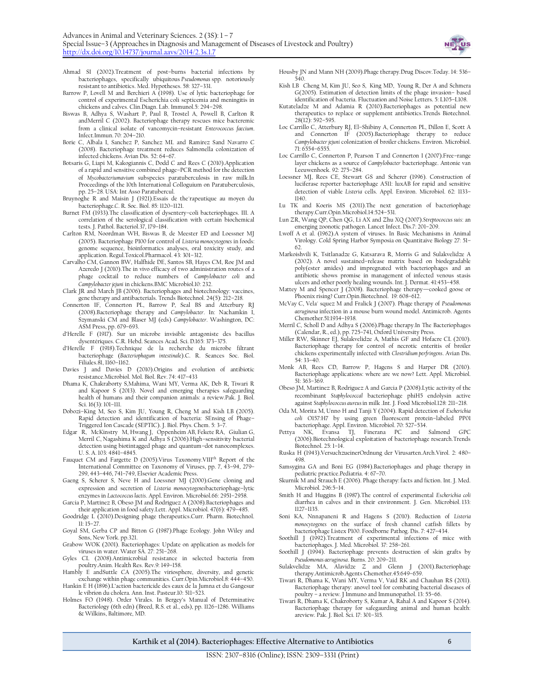

- Ahmad SI (2002).Treatment of post–burns bacterial infections by bacteriophages, specifically ubiquitous *Pseudomonas* spp. notoriously resistant to antibiotics. Med. Hypotheses. 58: 327–331.
- Barrow P, Lovell M and Berchieri A (1998). Use of lytic bacteriophage for control of experimental Escherichia coli septicemia and meningitis in chickens and calves[. Clin.Diagn. Lab. Immunol.5](http://www.ncbi.nlm.nih.gov/pubmed/9605979): 294–298.
- Biswas B, Adhya S, Washart P, Paul B, Trostel A, Powell B, Carlton R andMerril C (2002). Bacteriophage therapy rescues mice bacteremic from a clinical isolate of vancomycin–resistant *Enterococcus faecium*. Infect.Immun. 70: 204–210.
- Borie C, Albala I, Sanchez P, Sanchez ML and Ramirez Sand Navarro C (2008). Bacteriophage treatment reduces Salmonella colonization of infected chickens. Avian Dis. 52: 64–67.
- Botsaris G, Liapi M, Kakogiannis C, Dodd C and Rees C (2010).Application of a rapid and sensitive combined phage–PCR method for the detection of *Mycobacteriumavium* subspecies paratuberculosis in raw milk.In Proceedings of the 10th International Colloguium on Paratuberculosis, pp. 25–28. USA: Int Asso Paratubercul.
- Bruynoghe R and Maisin J (1921).Essais de the´rapeutique au moyen du bacteriophage.*C*. R. Soc. Biol. 85: 1120–1121.
- Burnet FM (1933).The classification of dysentery–coli bacteriophages. III. A correlation of the serological classification with certain biochemical tests. J. Pathol. Bacteriol.37, 179–184.
- Carlton RM, Noordman WH, Biswas B, de Meester ED and Loessner MJ (2005). Bacteriophage P100 for control of *Listeria monocytogenes* in foods: genome sequence, bioinformatics analyses, oral toxicity study, and application. Regul.Toxicol.Pharmacol. 43: 301–312.
- Carvalho CM, Gannon BW, Halfhide DE, Santos SB, Hayes CM, Roe JM and Azeredo J (2010).The in vivo efficacy of two administration routes of a phage cocktail to reduce numbers of *Campylobacter coli* and *Campylobacter jejuni* in chickens.BMC Microbiol.10: 232.
- Clark JR and March JB (2006). Bacteriophages and biotechnology: vaccines, gene therapy and antibacterials. Trends Biotechnol. 24(5): 212–218.
- Connerton IF, Connerton PL, Barrow P, Seal BS and Atterbury RJ (2008).Bacteriophage therapy and *Campylobacter*. In: Nachamkin I, Szymanski CM and Blaser MJ (eds) *Campylobacter*. Washington, DC: ASM Press, pp. 679–693.
- d'Herelle F (1917). Sur un microbe invisible antagoniste des bacillus dysentériques. C.R. Hebd. Seances Acad. Sci. D*.*165: 373–375.
- d'Herelle F (1918).Technique de la recherche du microbe filtrant bacteriophage (*Bacteriophagum intestinale*).C. R. Seances Soc. Biol. Filiales.81, 1160–1162.
- Davies J and Davies D (2010).Origins and evolution of antibiotic resistance.Microbiol. Mol. Biol. Rev. 74: 417–433
- Dhama K, Chakraborty S,Mahima, Wani MY, Verma AK, Deb R, Tiwari R and Kapoor S (2013). Novel and emerging therapies safeguarding health of humans and their companion animals: a review.Pak. J. Biol. Sci. 16(3): 101–111.
- Dobozi–King M, Seo S, Kim JU, Young R, Cheng M and Kish LB (2005). Rapid detection and identification of bacteria: SEnsing of Phage– Triggered Ion Cascade (SEPTIC). J. Biol. Phys. Chem. 5: 3–7.
- Edgar R, [McKinstry](http://www.pnas.org/search?author1=Michael+McKinstry&sortspec=date&submit=Submit) M, [Hwang](http://www.pnas.org/search?author1=Jeeseong+Hwang&sortspec=date&submit=Submit) J, [Oppenheim](http://www.pnas.org/search?author1=Amos+B.+Oppenheim&sortspec=date&submit=Submit) AB, [Fekete](http://www.pnas.org/search?author1=Richard+A.+Fekete&sortspec=date&submit=Submit) RA, [Giulian](http://www.pnas.org/search?author1=Gary+Giulian&sortspec=date&submit=Submit) G, [Merril](http://www.pnas.org/search?author1=Carl+Merril&sortspec=date&submit=Submit) C, [Nagashima](http://www.pnas.org/search?author1=Kunio+Nagashima&sortspec=date&submit=Submit) K and [Adhya](http://www.pnas.org/search?author1=Sankar+Adhya&sortspec=date&submit=Submit) S (2006).High–sensitivity bacterial detection using biotintagged phage and quantum–dot nanocomplexes. U. S. A. 103: 4841–4845.
- Fauquet CM and Fargette D (2005). Virus Taxonomy. VIII<sup>th</sup> Report of the International Committee on Taxonomy of Viruses, pp. 7, 43–94, 279– 299, 443–446, 741–749, Elsevier Academic Press.
- Gaeng S, Scherer S, Neve H and Loessner MJ (2000).Gene cloning and expression and secretion of *Listeria monocytogenes*bacteriophage–lytic enzymes in *Lactococcus lactis*. [Appl. Environ. Microbiol.6](http://www.ncbi.nlm.nih.gov/pubmed/10877791)6: 2951–2958. Garcia P, Martínez B, Obeso JM and Rodríguez A (2008).Bacteriophages and
- their application in food safety.Lett. Appl. Microbiol. 47(6): 479–485. Goodridge L (2010).Designing phage therapeutics.Curr. Pharm. Biotechnol.
- 11: 15–27. Goyal SM, Gerba CP and Bitton G (1987).Phage Ecology. John Wiley and Sons, New York. pp.321.
- Grabow WOK (2001). Bacteriophages: Update on application as models for viruses in water. Water SA. 27: 251–268.
- Gyles CL (2008).Antimicrobial resistance in selected bacteria from
- poultr[y.Anim. Health Res. Rev.9](http://www.ncbi.nlm.nih.gov/pubmed/19102788): 149–158. Hambly E andSuttle CA (2005).The viriosphere, diversity, and genetic exchange within phage communities. [Curr.Opin.Microbiol.8](http://www.ncbi.nlm.nih.gov/pubmed/15979387): 444–450.
- Hankin E H (1896).L'action bactericide des eaux de la Jumna et du Gangesur le vibrion du cholera. Ann. Inst. Pasteur.10: 511–523.
- Holmes FO (1948). Order Virales. In Bergey's Manual of Determinative Bacteriology (6th edn) (Breed, R.S. et al., eds), pp. 1126–1286. Williams & Wilkins, Baltimore, MD.

Housby JN and Mann NH (2009).Phage therap[y.Drug Discov.Today.](http://www.ncbi.nlm.nih.gov/pubmed/19508915) 14: 536– 540.

- Kish LB Cheng M, Kim JU, Seo S, King MD, Young R, Der A and Schmera G(2005). Estimation of detection limits of the phage invasion– based identification of bacteria. Fluctuation and Noise Letters. 5: L105–L108.
- Kutateladze M and Adamia R (2010).Bacteriophages as potential new therapeutics to replace or supplement antibiotics.Trends Biotechnol. 28(12): 592–595.
- Loc Carrillo C, Atterbury RJ, El–Shibiny A, Connerton PL, Dillon E, Scott A and Connerton IF (2005).Bacteriophage therapy to reduce *Campylobacter jejuni* colonization of broiler chickens. Environ. Microbiol. 71: 6554–6555.
- Loc Carrillo C, Connerton P, Pearson T and Connerton I (2007).Free–range layer chickens as a source of *Campylobacter* bacteriophage. Antonie van Leeuwenhoek. 92: 275–284.
- Loessner MJ, [Rees](http://aem.asm.org/search?author1=C+E+Rees&sortspec=date&submit=Submit) CE, [Stewart](http://aem.asm.org/search?author1=G+S+Stewart&sortspec=date&submit=Submit) GS and [Scherer](http://aem.asm.org/search?author1=S+Scherer&sortspec=date&submit=Submit) (1996). Construction of luciferase reporter bacteriophage A511: luxAB for rapid and sensitive detection of viable *Listeria* cells. Appl. Environ. Microbiol. 62: 1133– 1140.
- Lu TK and Koeris MS (2011).The next generation of bacteriophage therapy.Curr.Opin.Microbiol.14:524–531.
- Lun ZR, Wang QP, Chen QG, Li AX and Zhu XQ (2007).*Streptococcus suis*: an emerging zoonotic pathogen[. Lancet Infect. Dis.7](http://www.ncbi.nlm.nih.gov/pubmed/24457163): 201–209.
- Lwoff A et al. (1962).A system of viruses. In Basic Mechanisms in Animal Virology. Cold Spring Harbor Symposia on Quantitaive Biology 27: 51– 62.
- Markoishvili K, Tsitlanadze G, Katsarava R, Morris G and Sulakvelidze A (2002). A novel sustained–release matrix based on biodegradable poly(ester amides) and impregnated with bacteriophages and an antibiotic shows promise in management of infected venous stasis ulcers and other poorly healing wounds. Int. J. Dermat. 41:453–458.
- Mattey M and Spencer J (2008). Bacteriophage therapy—cooked goose or Phoenix rising? Curr.Opin.Biotechnol. 19: 608–612.
- McVay C, Vela´ squez M and Fralick J (2007). Phage therapy of *Pseudomonas aeruginosa* infection in a mouse burn wound model. Antimicrob. Agents Chemother.51:1934–1938.
- Merril C, Scholl D and Adhya S (2006).Phage therapy.In The Bacteriophages (Calendar, R., ed.), pp. 725–741, Oxford University Press.
- Miller RW, Skinner EJ, Sulakvelidze A, Mathis GF and Hofacre CL (2010). Bacteriophage therapy for control of necrotic enteritis of broiler chickens experimentally infected with *Clostridium perfringens*. Avian Dis.  $54.33 - 40.$
- Monk AB, Rees CD, Barrow P, Hagens S and Harper DR (2010). Bacteriophage applications: where are we now? Lett. Appl. Microbiol. 51: 363–369.
- Obeso JM, Martinez B, Rodriguez A and Garcia P (2008).Lytic activity of the recombinant *Staphylococcal* bacteriophage phiH5 endolysin active against *Staphylococcus aureus* in milk .Int. J. Food Microbiol.128: 211–218.
- Oda M, [Morita](http://www.ncbi.nlm.nih.gov/pubmed/?term=Morita%20M%5Bauth%5D) M, [Unno](http://www.ncbi.nlm.nih.gov/pubmed/?term=Unno%20H%5Bauth%5D) H and [Tanji](http://www.ncbi.nlm.nih.gov/pubmed/?term=Tanji%20Y%5Bauth%5D) Y (2004). Rapid detection of *Escherichia coli* O157:H7 by using green fluorescent protein–labeled PP01 bacteriophage. Appl. Environ. Microbiol. 70: 527–534.
- NK, Evansa TJ, Finerana PC and Salmond GPC (2006).Biotechnological exploitation of bacteriophage research.Trends Biotechnol. 25: 1–14.
- Ruska H (1943).VersuchzueinerOrdnung der Virusarten.Arch.Virol. 2: 480– 498.
- Samsygina GA and Boni EG (1984).Bacteriophages and phage therapy in pediatric practice.Pediatria. 4: 67–70.
- [Skurnik M](http://www.ncbi.nlm.nih.gov/pubmed?term=Skurnik%20M%5BAuthor%5D&cauthor=true&cauthor_uid=16423684) and [Strauch E](http://www.ncbi.nlm.nih.gov/pubmed?term=Strauch%20E%5BAuthor%5D&cauthor=true&cauthor_uid=16423684) (2006). Phage therapy: facts and fiction. Int. J. Med. Microbiol. 296:5–14.
- Smith H and Huggins B (1987).The control of experimental *Escherichia coli* diarrhea in calves and in their environment. J. Gen. Microbiol. 133: 1127–1135.
- Soni KA, Nnnapaneni R and Hagens S (2010). Reduction of *Listeria monocytogenes* on the surface of fresh channel catfish fillets by bacteriophage Listex P100. Foodborne Pathog. Dis. 7: 427–434.
- Soothill J (1992).Treatment of experimental infections of mice with bacteriophages. J. Med. Microbiol. 37: 258–261.
- Soothill J (1994). Bacteriophage prevents destruction of skin grafts by *Pseudomonas aeruginosa*. Burns. 20: 209–211.
- Sulakvelidze MA, Alavidze Z and Glenn J (2001).Bacteriophage therapy.Antimicrob.Agents Chemother.45:649–659.
- Tiwari R, Dhama K, Wani MY, Verma V, Vaid RK and Chauhan RS (2011). Bacteriophage therapy: anovel tool for combating bacterial diseases of poultry – a review. J Immuno and Immunopathol. 13: 55–66.
- Tiwari R, Dhama K, Chakroborty S, Kumar A, Rahal A and Kapoor S (2014). Bacteriophage therapy for safegaurding animal and human health: areview. Pak. J. Biol. Sci. 17: 301–315.